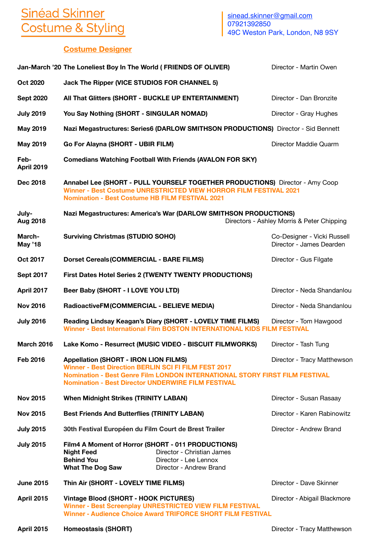## Sinéad Skinner<br>Costume & Styling

[sinead.skinner@gmail.com](mailto:sinead.skinner@gmail.com) 07921392850 49C Weston Park, London, N8 9SY

## **Costume Designer**

|                          | Jan-March '20 The Loneliest Boy In The World (FRIENDS OF OLIVER)                                                                                                                                                                                        |                                                                                                                         | Director - Martin Owen                                  |
|--------------------------|---------------------------------------------------------------------------------------------------------------------------------------------------------------------------------------------------------------------------------------------------------|-------------------------------------------------------------------------------------------------------------------------|---------------------------------------------------------|
| <b>Oct 2020</b>          | Jack The Ripper (VICE STUDIOS FOR CHANNEL 5)                                                                                                                                                                                                            |                                                                                                                         |                                                         |
| <b>Sept 2020</b>         | All That Glitters (SHORT - BUCKLE UP ENTERTAINMENT)                                                                                                                                                                                                     |                                                                                                                         | Director - Dan Bronzite                                 |
| <b>July 2019</b>         | You Say Nothing (SHORT - SINGULAR NOMAD)                                                                                                                                                                                                                |                                                                                                                         | Director - Gray Hughes                                  |
| <b>May 2019</b>          | Nazi Megastructures: Series6 (DARLOW SMITHSON PRODUCTIONS) Director - Sid Bennett                                                                                                                                                                       |                                                                                                                         |                                                         |
| <b>May 2019</b>          | Go For Alayna (SHORT - UBIR FILM)                                                                                                                                                                                                                       |                                                                                                                         | Director Maddie Quarm                                   |
| Feb-<br>April 2019       | <b>Comedians Watching Football With Friends (AVALON FOR SKY)</b>                                                                                                                                                                                        |                                                                                                                         |                                                         |
| Dec 2018                 | Annabel Lee (SHORT - PULL YOURSELF TOGETHER PRODUCTIONS) Director - Amy Coop<br><b>Winner - Best Costume UNRESTRICTED VIEW HORROR FILM FESTIVAL 2021</b><br><b>Nomination - Best Costume HB FILM FESTIVAL 2021</b>                                      |                                                                                                                         |                                                         |
| July-<br>Aug 2018        | Nazi Megastructures: America's War (DARLOW SMITHSON PRODUCTIONS)<br>Directors - Ashley Morris & Peter Chipping                                                                                                                                          |                                                                                                                         |                                                         |
| March-<br><b>May '18</b> | <b>Surviving Christmas (STUDIO SOHO)</b>                                                                                                                                                                                                                |                                                                                                                         | Co-Designer - Vicki Russell<br>Director - James Dearden |
| Oct 2017                 | <b>Dorset Cereals (COMMERCIAL - BARE FILMS)</b>                                                                                                                                                                                                         |                                                                                                                         | Director - Gus Filgate                                  |
| <b>Sept 2017</b>         | <b>First Dates Hotel Series 2 (TWENTY TWENTY PRODUCTIONS)</b>                                                                                                                                                                                           |                                                                                                                         |                                                         |
| April 2017               | Beer Baby (SHORT - I LOVE YOU LTD)                                                                                                                                                                                                                      |                                                                                                                         | Director - Neda Shandanlou                              |
| <b>Nov 2016</b>          | RadioactiveFM(COMMERCIAL - BELIEVE MEDIA)                                                                                                                                                                                                               |                                                                                                                         | Director - Neda Shandanlou                              |
| <b>July 2016</b>         | Reading Lindsay Keagan's Diary (SHORT - LOVELY TIME FILMS)<br>Director - Tom Hawgood<br>Winner - Best International Film BOSTON INTERNATIONAL KIDS FILM FESTIVAL                                                                                        |                                                                                                                         |                                                         |
| <b>March 2016</b>        |                                                                                                                                                                                                                                                         | Lake Komo - Resurrect (MUSIC VIDEO - BISCUIT FILMWORKS)                                                                 | Director - Tash Tung                                    |
| <b>Feb 2016</b>          | <b>Appellation (SHORT - IRON LION FILMS)</b><br><b>Winner - Best Direction BERLIN SCI FI FILM FEST 2017</b><br>Nomination - Best Genre Film LONDON INTERNATIONAL STORY FIRST FILM FESTIVAL<br><b>Nomination - Best Director UNDERWIRE FILM FESTIVAL</b> |                                                                                                                         | Director - Tracy Matthewson                             |
| <b>Nov 2015</b>          | <b>When Midnight Strikes (TRINITY LABAN)</b>                                                                                                                                                                                                            |                                                                                                                         | Director - Susan Rasaay                                 |
| <b>Nov 2015</b>          | <b>Best Friends And Butterflies (TRINITY LABAN)</b>                                                                                                                                                                                                     |                                                                                                                         | Director - Karen Rabinowitz                             |
| <b>July 2015</b>         | 30th Festival Européen du Film Court de Brest Trailer                                                                                                                                                                                                   |                                                                                                                         | Director - Andrew Brand                                 |
| <b>July 2015</b>         | Film4 A Moment of Horror (SHORT - 011 PRODUCTIONS)<br><b>Night Feed</b><br><b>Behind You</b><br><b>What The Dog Saw</b>                                                                                                                                 | Director - Christian James<br>Director - Lee Lennox<br>Director - Andrew Brand                                          |                                                         |
| <b>June 2015</b>         | Thin Air (SHORT - LOVELY TIME FILMS)                                                                                                                                                                                                                    |                                                                                                                         | Director - Dave Skinner                                 |
| <b>April 2015</b>        | Vintage Blood (SHORT - HOOK PICTURES)                                                                                                                                                                                                                   | Winner - Best Screenplay UNRESTRICTED VIEW FILM FESTIVAL<br>Winner - Audience Choice Award TRIFORCE SHORT FILM FESTIVAL | Director - Abigail Blackmore                            |

April 2015 **Homeostasis (SHORT) April 2015 Homeostasis (SHORT) Director - Tracy Matthewson**